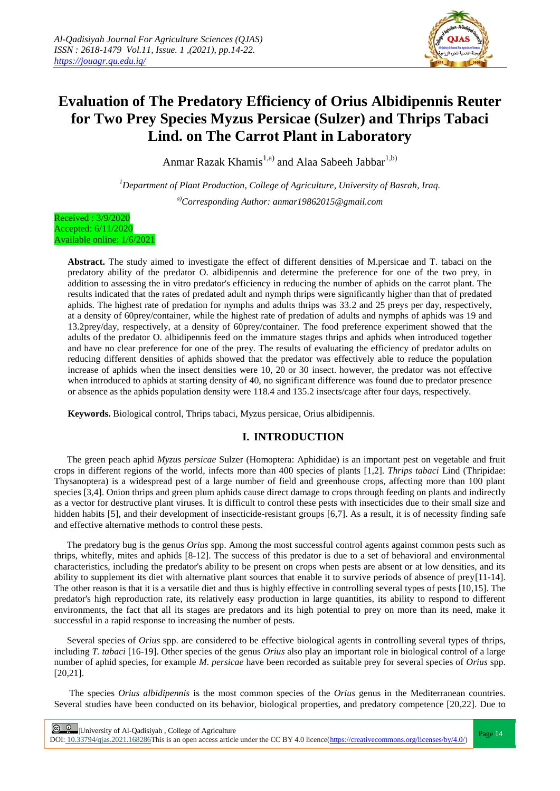

# **Evaluation of The Predatory Efficiency of Orius Albidipennis Reuter for Two Prey Species Myzus Persicae (Sulzer) and Thrips Tabaci Lind. on The Carrot Plant in Laboratory**

Anmar Razak Khamis<sup>1,a)</sup> and Alaa Sabeeh Jabbar<sup>1,b)</sup>

*<sup>1</sup>Department of Plant Production, College of Agriculture, University of Basrah, Iraq. a)Corresponding Author: anmar19862015@gmail.com*

Received : 3/9/2020 Accepted: 6/11/2020 Available online: 1/6/2021

> **Abstract.** The study aimed to investigate the effect of different densities of M.persicae and T. tabaci on the predatory ability of the predator O. albidipennis and determine the preference for one of the two prey, in addition to assessing the in vitro predator's efficiency in reducing the number of aphids on the carrot plant. The results indicated that the rates of predated adult and nymph thrips were significantly higher than that of predated aphids. The highest rate of predation for nymphs and adults thrips was 33.2 and 25 preys per day, respectively, at a density of 60prey/container, while the highest rate of predation of adults and nymphs of aphids was 19 and 13.2prey/day, respectively, at a density of 60prey/container. The food preference experiment showed that the adults of the predator O. albidipennis feed on the immature stages thrips and aphids when introduced together and have no clear preference for one of the prey. The results of evaluating the efficiency of predator adults on reducing different densities of aphids showed that the predator was effectively able to reduce the population increase of aphids when the insect densities were 10, 20 or 30 insect. however, the predator was not effective when introduced to aphids at starting density of 40, no significant difference was found due to predator presence or absence as the aphids population density were 118.4 and 135.2 insects/cage after four days, respectively.

**Keywords.** Biological control, Thrips tabaci, Myzus persicae, Orius albidipennis.

# **I. INTRODUCTION**

The green peach aphid *Myzus persicae* Sulzer (Homoptera: Aphididae) is an important pest on vegetable and fruit crops in different regions of the world, infects more than 400 species of plants [1,2]. *Thrips tabaci* Lind (Thripidae: Thysanoptera) is a widespread pest of a large number of field and greenhouse crops, affecting more than 100 plant species [3,4]. Onion thrips and green plum aphids cause direct damage to crops through feeding on plants and indirectly as a vector for destructive plant viruses. It is difficult to control these pests with insecticides due to their small size and hidden habits [5], and their development of insecticide-resistant groups [6,7]. As a result, it is of necessity finding safe and effective alternative methods to control these pests.

The predatory bug is the genus *Orius* spp. Among the most successful control agents against common pests such as thrips, whitefly, mites and aphids [8-12]. The success of this predator is due to a set of behavioral and environmental characteristics, including the predator's ability to be present on crops when pests are absent or at low densities, and its ability to supplement its diet with alternative plant sources that enable it to survive periods of absence of prey[11-14]. The other reason is that it is a versatile diet and thus is highly effective in controlling several types of pests [10,15]. The predator's high reproduction rate, its relatively easy production in large quantities, its ability to respond to different environments, the fact that all its stages are predators and its high potential to prey on more than its need, make it successful in a rapid response to increasing the number of pests.

Several species of *Orius* spp. are considered to be effective biological agents in controlling several types of thrips, including *T. tabaci* [16-19]. Other species of the genus *Orius* also play an important role in biological control of a large number of aphid species, for example *M. persicae* have been recorded as suitable prey for several species of *Orius* spp. [20,21].

The species *Orius albidipennis* is the most common species of the *Orius* genus in the Mediterranean countries. Several studies have been conducted on its behavior, biological properties, and predatory competence [20,22]. Due to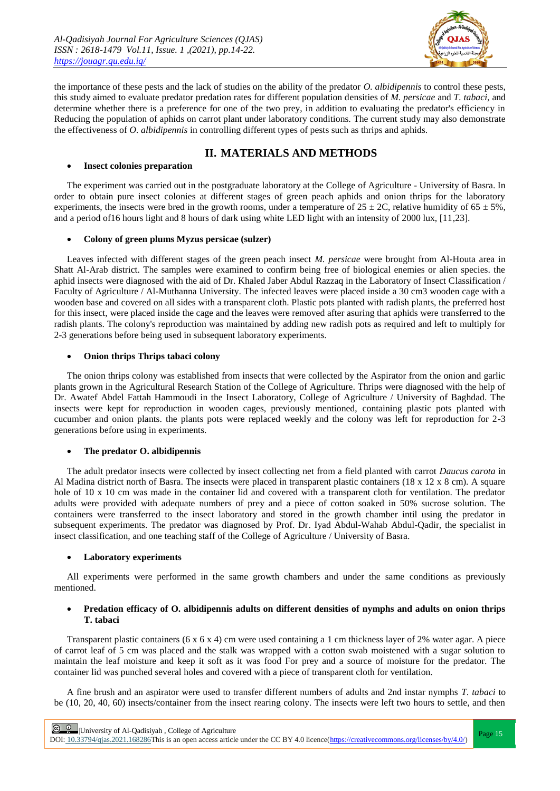

the importance of these pests and the lack of studies on the ability of the predator *O. albidipennis* to control these pests, this study aimed to evaluate predator predation rates for different population densities of *M. persicae* and *T. tabaci*, and determine whether there is a preference for one of the two prey, in addition to evaluating the predator's efficiency in Reducing the population of aphids on carrot plant under laboratory conditions. The current study may also demonstrate the effectiveness of *O. albidipennis* in controlling different types of pests such as thrips and aphids.

# **II. MATERIALS AND METHODS**

### **Insect colonies preparation**

The experiment was carried out in the postgraduate laboratory at the College of Agriculture - University of Basra. In order to obtain pure insect colonies at different stages of green peach aphids and onion thrips for the laboratory experiments, the insects were bred in the growth rooms, under a temperature of  $25 \pm 2C$ , relative humidity of  $65 \pm 5$ %, and a period of 16 hours light and 8 hours of dark using white LED light with an intensity of 2000 lux, [11,23].

### **Colony of green plums Myzus persicae (sulzer)**

Leaves infected with different stages of the green peach insect *M. persicae* were brought from Al-Houta area in Shatt Al-Arab district. The samples were examined to confirm being free of biological enemies or alien species. the aphid insects were diagnosed with the aid of Dr. Khaled Jaber Abdul Razzaq in the Laboratory of Insect Classification / Faculty of Agriculture / Al-Muthanna University. The infected leaves were placed inside a 30 cm3 wooden cage with a wooden base and covered on all sides with a transparent cloth. Plastic pots planted with radish plants, the preferred host for this insect, were placed inside the cage and the leaves were removed after asuring that aphids were transferred to the radish plants. The colony's reproduction was maintained by adding new radish pots as required and left to multiply for 2-3 generations before being used in subsequent laboratory experiments.

## **Onion thrips Thrips tabaci colony**

The onion thrips colony was established from insects that were collected by the Aspirator from the onion and garlic plants grown in the Agricultural Research Station of the College of Agriculture. Thrips were diagnosed with the help of Dr. Awatef Abdel Fattah Hammoudi in the Insect Laboratory, College of Agriculture / University of Baghdad. The insects were kept for reproduction in wooden cages, previously mentioned, containing plastic pots planted with cucumber and onion plants. the plants pots were replaced weekly and the colony was left for reproduction for 2-3 generations before using in experiments.

# **The predator O. albidipennis**

The adult predator insects were collected by insect collecting net from a field planted with carrot *Daucus carota* in Al Madina district north of Basra. The insects were placed in transparent plastic containers (18 x 12 x 8 cm). A square hole of 10 x 10 cm was made in the container lid and covered with a transparent cloth for ventilation. The predator adults were provided with adequate numbers of prey and a piece of cotton soaked in 50% sucrose solution. The containers were transferred to the insect laboratory and stored in the growth chamber intil using the predator in subsequent experiments. The predator was diagnosed by Prof. Dr. Iyad Abdul-Wahab Abdul-Qadir, the specialist in insect classification, and one teaching staff of the College of Agriculture / University of Basra.

# **Laboratory experiments**

All experiments were performed in the same growth chambers and under the same conditions as previously mentioned.

### **Predation efficacy of O. albidipennis adults on different densities of nymphs and adults on onion thrips T. tabaci**

Transparent plastic containers (6 x 6 x 4) cm were used containing a 1 cm thickness layer of 2% water agar. A piece of carrot leaf of 5 cm was placed and the stalk was wrapped with a cotton swab moistened with a sugar solution to maintain the leaf moisture and keep it soft as it was food For prey and a source of moisture for the predator. The container lid was punched several holes and covered with a piece of transparent cloth for ventilation.

A fine brush and an aspirator were used to transfer different numbers of adults and 2nd instar nymphs *T. tabaci* to be (10, 20, 40, 60) insects/container from the insect rearing colony. The insects were left two hours to settle, and then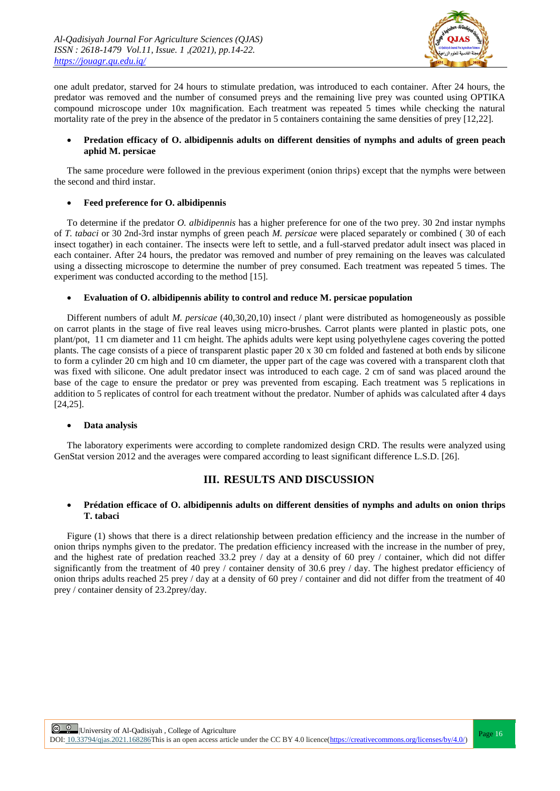

one adult predator, starved for 24 hours to stimulate predation, was introduced to each container. After 24 hours, the predator was removed and the number of consumed preys and the remaining live prey was counted using OPTIKA compound microscope under 10x magnification. Each treatment was repeated 5 times while checking the natural mortality rate of the prey in the absence of the predator in 5 containers containing the same densities of prey [12,22].

# **Predation efficacy of O. albidipennis adults on different densities of nymphs and adults of green peach aphid M. persicae**

The same procedure were followed in the previous experiment (onion thrips) except that the nymphs were between the second and third instar.

# **Feed preference for O. albidipennis**

To determine if the predator *O. albidipennis* has a higher preference for one of the two prey. 30 2nd instar nymphs of *T. tabaci* or 30 2nd-3rd instar nymphs of green peach *M. persicae* were placed separately or combined ( 30 of each insect togather) in each container. The insects were left to settle, and a full-starved predator adult insect was placed in each container. After 24 hours, the predator was removed and number of prey remaining on the leaves was calculated using a dissecting microscope to determine the number of prey consumed. Each treatment was repeated 5 times. The experiment was conducted according to the method [15].

#### **Evaluation of O. albidipennis ability to control and reduce M. persicae population**

Different numbers of adult *M. persicae* (40,30,20,10) insect / plant were distributed as homogeneously as possible on carrot plants in the stage of five real leaves using micro-brushes. Carrot plants were planted in plastic pots, one plant/pot, 11 cm diameter and 11 cm height. The aphids adults were kept using polyethylene cages covering the potted plants. The cage consists of a piece of transparent plastic paper 20 x 30 cm folded and fastened at both ends by silicone to form a cylinder 20 cm high and 10 cm diameter, the upper part of the cage was covered with a transparent cloth that was fixed with silicone. One adult predator insect was introduced to each cage. 2 cm of sand was placed around the base of the cage to ensure the predator or prey was prevented from escaping. Each treatment was 5 replications in addition to 5 replicates of control for each treatment without the predator. Number of aphids was calculated after 4 days [24,25].

#### **Data analysis**

The laboratory experiments were according to complete randomized design CRD. The results were analyzed using GenStat version 2012 and the averages were compared according to least significant difference L.S.D. [26].

# **III. RESULTS AND DISCUSSION**

### **Prédation efficace of O. albidipennis adults on different densities of nymphs and adults on onion thrips T. tabaci**

Figure (1) shows that there is a direct relationship between predation efficiency and the increase in the number of onion thrips nymphs given to the predator. The predation efficiency increased with the increase in the number of prey, and the highest rate of predation reached 33.2 prey  $/$  day at a density of 60 prey  $/$  container, which did not differ significantly from the treatment of 40 prey / container density of 30.6 prey / day. The highest predator efficiency of onion thrips adults reached 25 prey / day at a density of 60 prey / container and did not differ from the treatment of 40 prey / container density of 23.2prey/day.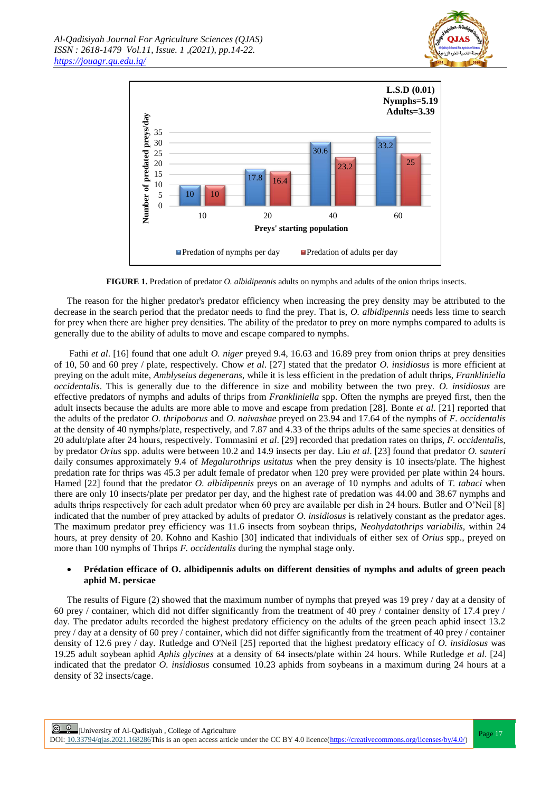



**FIGURE 1.** Predation of predator *O. albidipennis* adults on nymphs and adults of the onion thrips insects.

The reason for the higher predator's predator efficiency when increasing the prey density may be attributed to the decrease in the search period that the predator needs to find the prey. That is, *O. albidipennis* needs less time to search for prey when there are higher prey densities. The ability of the predator to prey on more nymphs compared to adults is generally due to the ability of adults to move and escape compared to nymphs.

Fathi *et al*. [16] found that one adult *O. niger* preyed 9.4, 16.63 and 16.89 prey from onion thrips at prey densities of 10, 50 and 60 prey / plate, respectively. Chow *et al*. [27] stated that the predator *O. insidiosus* is more efficient at preying on the adult mite, *Amblyseius degenerans*, while it is less efficient in the predation of adult thrips, *Frankliniella occidentalis*. This is generally due to the difference in size and mobility between the two prey. *O. insidiosus* are effective predators of nymphs and adults of thrips from *Frankliniella* spp. Often the nymphs are preyed first, then the adult insects because the adults are more able to move and escape from predation [28]. Bonte *et al*. [21] reported that the adults of the predator *O. thripoborus* and *O. naivashae* preyed on 23.94 and 17.64 of the nymphs of *F. occidentalis* at the density of 40 nymphs/plate, respectively, and 7.87 and 4.33 of the thrips adults of the same species at densities of 20 adult/plate after 24 hours, respectively. Tommasini *et al*. [29] recorded that predation rates on thrips, *F. occidentalis*, by predator *Orius* spp. adults were between 10.2 and 14.9 insects per day. Liu *et al*. [23] found that predator *O. sauteri* daily consumes approximately 9.4 of *Megalurothrips usitatus* when the prey density is 10 insects/plate. The highest predation rate for thrips was 45.3 per adult female of predator when 120 prey were provided per plate within 24 hours. Hamed [22] found that the predator *O. albidipennis* preys on an average of 10 nymphs and adults of *T. tabaci* when there are only 10 insects/plate per predator per day, and the highest rate of predation was 44.00 and 38.67 nymphs and adults thrips respectively for each adult predator when 60 prey are available per dish in 24 hours. Butler and O'Neil [8] indicated that the number of prey attacked by adults of predator *O. insidiosus* is relatively constant as the predator ages. The maximum predator prey efficiency was 11.6 insects from soybean thrips, *Neohydatothrips variabilis*, within 24 hours, at prey density of 20. Kohno and Kashio [30] indicated that individuals of either sex of *Orius* spp., preyed on more than 100 nymphs of Thrips *F. occidentalis* during the nymphal stage only.

## **Prédation efficace of O. albidipennis adults on different densities of nymphs and adults of green peach aphid M. persicae**

The results of Figure (2) showed that the maximum number of nymphs that preyed was 19 prey / day at a density of 60 prey / container, which did not differ significantly from the treatment of 40 prey / container density of 17.4 prey / day. The predator adults recorded the highest predatory efficiency on the adults of the green peach aphid insect 13.2 prey / day at a density of 60 prey / container, which did not differ significantly from the treatment of 40 prey / container density of 12.6 prey / day. Rutledge and O'Neil [25] reported that the highest predatory efficacy of *O. insidiosus* was 19.25 adult soybean aphid *Aphis glycines* at a density of 64 insects/plate within 24 hours. While Rutledge *et al*. [24] indicated that the predator *O. insidiosus* consumed 10.23 aphids from soybeans in a maximum during 24 hours at a density of 32 insects/cage.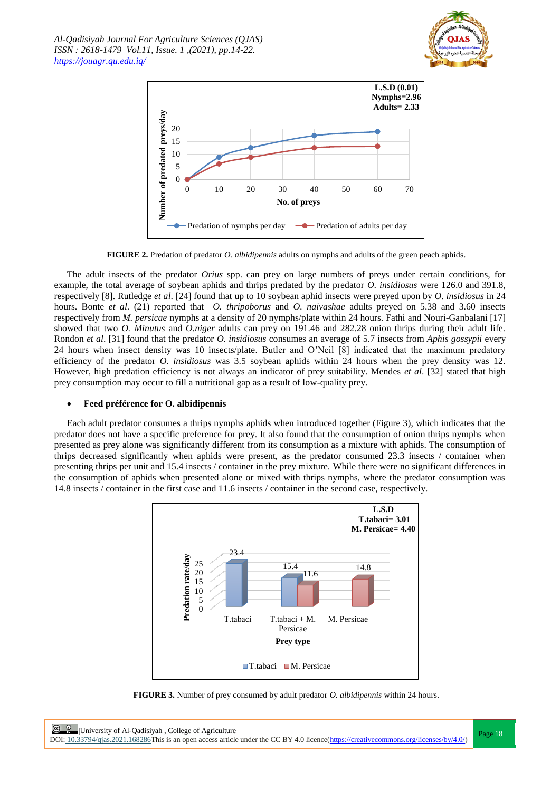



**FIGURE 2.** Predation of predator *O. albidipennis* adults on nymphs and adults of the green peach aphids.

The adult insects of the predator *Orius* spp. can prey on large numbers of preys under certain conditions, for example, the total average of soybean aphids and thrips predated by the predator *O. insidiosus* were 126.0 and 391.8, respectively [8]. Rutledge *et al*. [24] found that up to 10 soybean aphid insects were preyed upon by *O. insidiosus* in 24 hours. Bonte *et al*. (21) reported that *O. thripoborus* and *O. naivashae* adults preyed on 5.38 and 3.60 insects respectively from *M. persicae* nymphs at a density of 20 nymphs/plate within 24 hours. Fathi and Nouri-Ganbalani [17] showed that two *O. Minutus* and *O.niger* adults can prey on 191.46 and 282.28 onion thrips during their adult life. Rondon *et al*. [31] found that the predator *O. insidiosus* consumes an average of 5.7 insects from *Aphis gossypii* every 24 hours when insect density was 10 insects/plate. Butler and O'Neil [8] indicated that the maximum predatory efficiency of the predator *O. insidiosus* was 3.5 soybean aphids within 24 hours when the prey density was 12. However, high predation efficiency is not always an indicator of prey suitability. Mendes *et al*. [32] stated that high prey consumption may occur to fill a nutritional gap as a result of low-quality prey.

# **Feed préférence for O. albidipennis**

Each adult predator consumes a thrips nymphs aphids when introduced together (Figure 3), which indicates that the predator does not have a specific preference for prey. It also found that the consumption of onion thrips nymphs when presented as prey alone was significantly different from its consumption as a mixture with aphids. The consumption of thrips decreased significantly when aphids were present, as the predator consumed 23.3 insects / container when presenting thrips per unit and 15.4 insects / container in the prey mixture. While there were no significant differences in the consumption of aphids when presented alone or mixed with thrips nymphs, where the predator consumption was 14.8 insects / container in the first case and 11.6 insects / container in the second case, respectively.



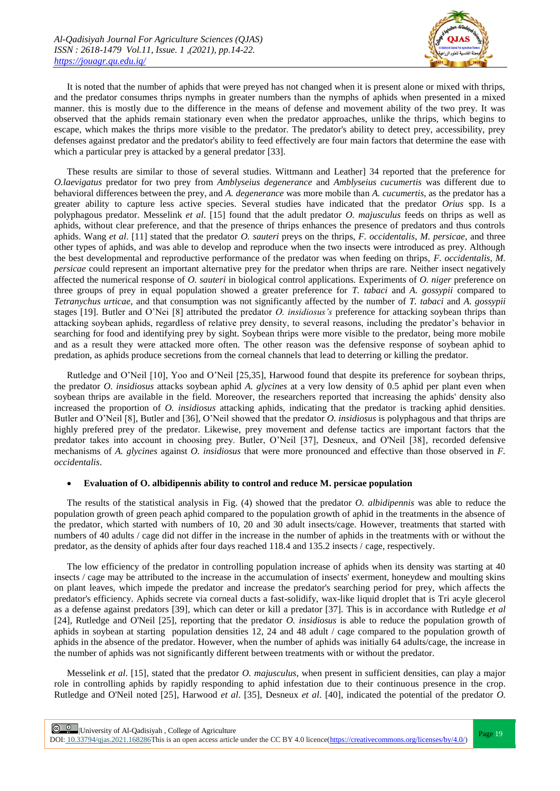

It is noted that the number of aphids that were preyed has not changed when it is present alone or mixed with thrips, and the predator consumes thrips nymphs in greater numbers than the nymphs of aphids when presented in a mixed manner. this is mostly due to the difference in the means of defense and movement ability of the two prey. It was observed that the aphids remain stationary even when the predator approaches, unlike the thrips, which begins to escape, which makes the thrips more visible to the predator. The predator's ability to detect prey, accessibility, prey defenses against predator and the predator's ability to feed effectively are four main factors that determine the ease with which a particular prey is attacked by a general predator [33].

These results are similar to those of several studies. Wittmann and Leather] 34 reported that the preference for *O.laevigatus* predator for two prey from *Amblyseius degenerance* and *Amblyseius cucumertis* was different due to behavioral differences between the prey, and *A. degenerance* was more mobile than *A. cucumertis*, as the predator has a greater ability to capture less active species. Several studies have indicated that the predator *Orius* spp. Is a polyphagous predator. Messelink *et al*. [15] found that the adult predator *O. majusculus* feeds on thrips as well as aphids, without clear preference, and that the presence of thrips enhances the presence of predators and thus controls aphids. Wang *et al*. [11] stated that the predator *O. sauteri* preys on the thrips, *F. occidentalis*, *M. persicae*, and three other types of aphids, and was able to develop and reproduce when the two insects were introduced as prey. Although the best developmental and reproductive performance of the predator was when feeding on thrips, *F. occidentalis*, *M. persicae* could represent an important alternative prey for the predator when thrips are rare. Neither insect negatively affected the numerical response of *O. sauteri* in biological control applications. Experiments of *O. niger* preference on three groups of prey in equal population showed a greater preference for *T. tabaci* and *A. gossypii* compared to *Tetranychus urticae*, and that consumption was not significantly affected by the number of *T. tabaci* and *A. gossypii* stages [19]. Butler and O'Nei [8] attributed the predator *O. insidiosus's* preference for attacking soybean thrips than attacking soybean aphids, regardless of relative prey density, to several reasons, including the predator's behavior in searching for food and identifying prey by sight. Soybean thrips were more visible to the predator, being more mobile and as a result they were attacked more often. The other reason was the defensive response of soybean aphid to predation, as aphids produce secretions from the corneal channels that lead to deterring or killing the predator.

Rutledge and O'Neil [10], Yoo and O'Neil [25,35], Harwood found that despite its preference for soybean thrips, the predator *O. insidiosus* attacks soybean aphid *A. glycines* at a very low density of 0.5 aphid per plant even when soybean thrips are available in the field. Moreover, the researchers reported that increasing the aphids' density also increased the proportion of *O. insidiosus* attacking aphids, indicating that the predator is tracking aphid densities. Butler and O'Neil [8], Butler and [36], O'Neil showed that the predator *O. insidiosus* is polyphagous and that thrips are highly prefered prey of the predator. Likewise, prey movement and defense tactics are important factors that the predator takes into account in choosing prey. Butler, O'Neil [37], Desneux, and O'Neil [38], recorded defensive mechanisms of *A. glycines* against *O. insidiosus* that were more pronounced and effective than those observed in *F. occidentalis*.

#### **Evaluation of O. albidipennis ability to control and reduce M. persicae population**

The results of the statistical analysis in Fig. (4) showed that the predator *O. albidipennis* was able to reduce the population growth of green peach aphid compared to the population growth of aphid in the treatments in the absence of the predator, which started with numbers of 10, 20 and 30 adult insects/cage. However, treatments that started with numbers of 40 adults / cage did not differ in the increase in the number of aphids in the treatments with or without the predator, as the density of aphids after four days reached 118.4 and 135.2 insects / cage, respectively.

The low efficiency of the predator in controlling population increase of aphids when its density was starting at 40 insects / cage may be attributed to the increase in the accumulation of insects' exerment, honeydew and moulting skins on plant leaves, which impede the predator and increase the predator's searching period for prey, which affects the predator's efficiency. Aphids secrete via corneal ducts a fast-solidify, wax-like liquid droplet that is Tri acyle glecerol as a defense against predators [39], which can deter or kill a predator [37]. This is in accordance with Rutledge *et al* [24], Rutledge and O'Neil [25], reporting that the predator *O. insidiosus* is able to reduce the population growth of aphids in soybean at starting population densities 12, 24 and 48 adult / cage compared to the population growth of aphids in the absence of the predator. However, when the number of aphids was initially 64 adults/cage, the increase in the number of aphids was not significantly different between treatments with or without the predator.

Messelink *et al*. [15], stated that the predator *O. majusculus*, when present in sufficient densities, can play a major role in controlling aphids by rapidly responding to aphid infestation due to their continuous presence in the crop. Rutledge and O'Neil noted [25], Harwood *et al*. [35], Desneux *et al*. [40], indicated the potential of the predator *O.*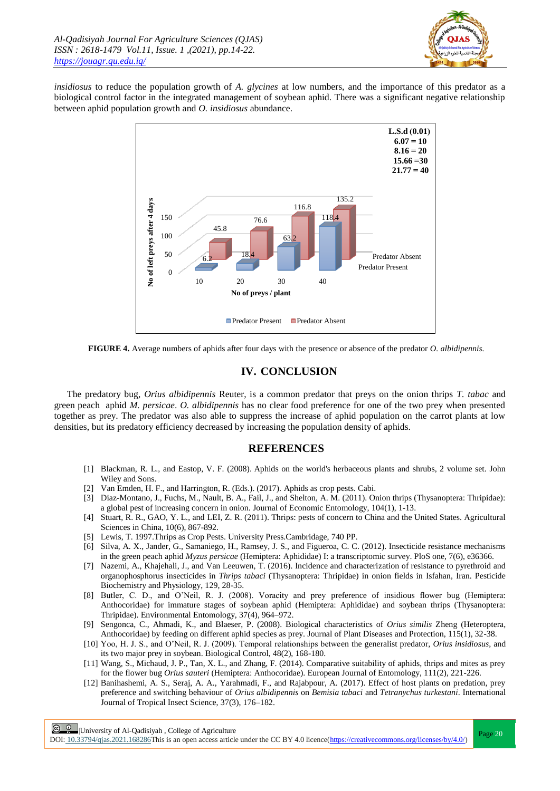

*insidiosus* to reduce the population growth of *A. glycines* at low numbers, and the importance of this predator as a biological control factor in the integrated management of soybean aphid. There was a significant negative relationship between aphid population growth and *O. insidiosus* abundance.



**FIGURE 4.** Average numbers of aphids after four days with the presence or absence of the predator *O. albidipennis.*

# **IV. CONCLUSION**

The predatory bug, *Orius albidipennis* Reuter, is a common predator that preys on the onion thrips *T. tabac* and green peach aphid *M. persicae*. *O. albidipennis* has no clear food preference for one of the two prey when presented together as prey. The predator was also able to suppress the increase of aphid population on the carrot plants at low densities, but its predatory efficiency decreased by increasing the population density of aphids.

# **REFERENCES**

- [1] Blackman, R. L., and Eastop, V. F. (2008). Aphids on the world's herbaceous plants and shrubs, 2 volume set. John Wiley and Sons.
- [2] Van Emden, H. F., and Harrington, R. (Eds.). (2017). Aphids as crop pests. Cabi.
- [3] Diaz-Montano, J., Fuchs, M., Nault, B. A., Fail, J., and Shelton, A. M. (2011). Onion thrips (Thysanoptera: Thripidae): a global pest of increasing concern in onion. Journal of Economic Entomology, 104(1), 1-13.
- [4] Stuart, R. R., GAO, Y. L., and LEI, Z. R. (2011). Thrips: pests of concern to China and the United States. Agricultural Sciences in China, 10(6), 867-892.
- [5] Lewis, T. 1997.Thrips as Crop Pests. University Press.Cambridage, 740 PP.
- [6] Silva, A. X., Jander, G., Samaniego, H., Ramsey, J. S., and Figueroa, C. C. (2012). Insecticide resistance mechanisms in the green peach aphid *Myzus persicae* (Hemiptera: Aphididae) I: a transcriptomic survey. PloS one, 7(6), e36366.
- [7] Nazemi, A., Khajehali, J., and Van Leeuwen, T. (2016). Incidence and characterization of resistance to pyrethroid and organophosphorus insecticides in *Thrips tabaci* (Thysanoptera: Thripidae) in onion fields in Isfahan, Iran. Pesticide Biochemistry and Physiology, 129, 28-35.
- [8] Butler, C. D., and O'Neil, R. J. (2008). Voracity and prey preference of insidious flower bug (Hemiptera: Anthocoridae) for immature stages of soybean aphid (Hemiptera: Aphididae) and soybean thrips (Thysanoptera: Thripidae). Environmental Entomology, 37(4), 964–972.
- [9] Sengonca, C., Ahmadi, K., and Blaeser, P. (2008). Biological characteristics of *Orius similis* Zheng (Heteroptera, Anthocoridae) by feeding on different aphid species as prey. Journal of Plant Diseases and Protection, 115(1), 32-38.
- [10] Yoo, H. J. S., and O'Neil, R. J. (2009). Temporal relationships between the generalist predator, *Orius insidiosus*, and its two major prey in soybean. Biological Control, 48(2), 168-180.
- [11] Wang, S., Michaud, J. P., Tan, X. L., and Zhang, F. (2014). Comparative suitability of aphids, thrips and mites as prey for the flower bug *Orius sauteri* (Hemiptera: Anthocoridae). European Journal of Entomology, 111(2), 221-226.
- [12] Banihashemi, A. S., Seraj, A. A., Yarahmadi, F., and Rajabpour, A. (2017). Effect of host plants on predation, prey preference and switching behaviour of *Orius albidipennis* on *Bemisia tabaci* and *Tetranychus turkestani*. International Journal of Tropical Insect Science, 37(3), 176–182.

C <sup>Q</sup> University of Al-Qadisiyah , College of Agriculture<br>
References and the collection of the Collection of Collection of the Collection of the Collection of the Collection of the Collection of the Collection of the Coll DOI:  $10.33794$ /qjas.2021.168286This is an open access article under the CC BY 4.0 licence(https://creativecommons.org/licenses/by/4.0/)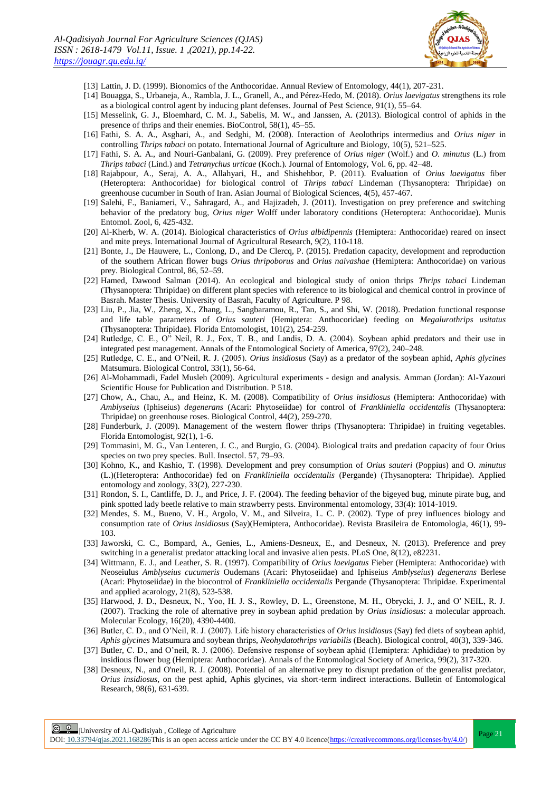

- [13] Lattin, J. D. (1999). Bionomics of the Anthocoridae. Annual Review of Entomology, 44(1), 207-231.
- [14] Bouagga, S., Urbaneja, A., Rambla, J. L., Granell, A., and Pérez-Hedo, M. (2018). *Orius laevigatus* strengthens its role as a biological control agent by inducing plant defenses. Journal of Pest Science, 91(1), 55–64.
- [15] Messelink, G. J., Bloemhard, C. M. J., Sabelis, M. W., and Janssen, A. (2013). Biological control of aphids in the presence of thrips and their enemies. BioControl, 58(1), 45–55.
- [16] Fathi, S. A. A., Asghari, A., and Sedghi, M. (2008). Interaction of Aeolothrips intermedius and *Orius niger* in controlling *Thrips tabaci* on potato. International Journal of Agriculture and Biology, 10(5), 521–525.
- [17] Fathi, S. A. A., and Nouri-Ganbalani, G. (2009). Prey preference of *Orius niger* (Wolf.) and *O. minutus* (L.) from *Thrips tabaci* (Lind.) and *Tetranychus urticae* (Koch.). Journal of Entomology, Vol. 6, pp. 42–48.
- [18] Rajabpour, A., Seraj, A. A., Allahyari, H., and Shishehbor, P. (2011). Evaluation of *Orius laevigatus* fiber (Heteroptera: Anthocoridae) for biological control of *Thrips tabaci* Lindeman (Thysanoptera: Thripidae) on greenhouse cucumber in South of Iran. Asian Journal of Biological Sciences, 4(5), 457-467.
- [19] Salehi, F., Baniameri, V., Sahragard, A., and Hajizadeh, J. (2011). Investigation on prey preference and switching behavior of the predatory bug, *Orius niger* Wolff under laboratory conditions (Heteroptera: Anthocoridae). Munis Entomol. Zool, 6, 425-432.
- [20] Al-Kherb, W. A. (2014). Biological characteristics of *Orius albidipennis* (Hemiptera: Anthocoridae) reared on insect and mite preys. International Journal of Agricultural Research, 9(2), 110-118.
- [21] Bonte, J., De Hauwere, L., Conlong, D., and De Clercq, P. (2015). Predation capacity, development and reproduction of the southern African flower bugs *Orius thripoborus* and *Orius naivashae* (Hemiptera: Anthocoridae) on various prey. Biological Control, 86, 52–59.
- [22] Hamed, Dawood Salman (2014). An ecological and biological study of onion thrips *Thrips tabaci* Lindeman (Thysanoptera: Thripidae) on different plant species with reference to its biological and chemical control in province of Basrah. Master Thesis. University of Basrah, Faculty of Agriculture. P 98.
- [23] Liu, P., Jia, W., Zheng, X., Zhang, L., Sangbaramou, R., Tan, S., and Shi, W. (2018). Predation functional response and life table parameters of *Orius sauteri* (Hemiptera: Anthocoridae) feeding on *Megalurothrips usitatus* (Thysanoptera: Thripidae). Florida Entomologist, 101(2), 254-259.
- [24] Rutledge, C. E., O" Neil, R. J., Fox, T. B., and Landis, D. A. (2004). Soybean aphid predators and their use in integrated pest management. Annals of the Entomological Society of America, 97(2), 240–248.
- [25] Rutledge, C. E., and O'Neil, R. J. (2005). *Orius insidiosus* (Say) as a predator of the soybean aphid, *Aphis glycines* Matsumura. Biological Control, 33(1), 56-64.
- [26] Al-Mohammadi, Fadel Musleh (2009). Agricultural experiments design and analysis. Amman (Jordan): Al-Yazouri Scientific House for Publication and Distribution. P 518.
- [27] Chow, A., Chau, A., and Heinz, K. M. (2008). Compatibility of *Orius insidiosus* (Hemiptera: Anthocoridae) with *Amblyseius* (Iphiseius) *degenerans* (Acari: Phytoseiidae) for control of *Frankliniella occidentalis* (Thysanoptera: Thripidae) on greenhouse roses. Biological Control, 44(2), 259-270.
- [28] Funderburk, J. (2009). Management of the western flower thrips (Thysanoptera: Thripidae) in fruiting vegetables. Florida Entomologist, 92(1), 1-6.
- [29] Tommasini, M. G., Van Lenteren, J. C., and Burgio, G. (2004). Biological traits and predation capacity of four Orius species on two prey species. Bull. Insectol. 57, 79–93.
- [30] Kohno, K., and Kashio, T. (1998). Development and prey consumption of *Orius sauteri* (Poppius) and O*. minutus* (L.)(Heteroptera: Anthocoridae) fed on *Frankliniella occidentalis* (Pergande) (Thysanoptera: Thripidae). Applied entomology and zoology, 33(2), 227-230.
- [31] Rondon, S. I., Cantliffe, D. J., and Price, J. F. (2004). The feeding behavior of the bigeyed bug, minute pirate bug, and pink spotted lady beetle relative to main strawberry pests. Environmental entomology, 33(4): 1014-1019.
- [32] Mendes, S. M., Bueno, V. H., Argolo, V. M., and Silveira, L. C. P. (2002). Type of prey influences biology and consumption rate of *Orius insidiosus* (Say)(Hemiptera, Anthocoridae). Revista Brasileira de Entomologia, 46(1), 99- 103.
- [33] Jaworski, C. C., Bompard, A., Genies, L., Amiens-Desneux, E., and Desneux, N. (2013). Preference and prey switching in a generalist predator attacking local and invasive alien pests. PLoS One, 8(12), e82231.
- [34] Wittmann, E. J., and Leather, S. R. (1997). Compatibility of *Orius laevigatus* Fieber (Hemiptera: Anthocoridae) with Neoseiulus *Amblyseius cucumeris* Oudemans (Acari: Phytoseiidae) and Iphiseius *Amblyseius*) *degenerans* Berlese (Acari: Phytoseiidae) in the biocontrol of *Frankliniella occidentalis* Pergande (Thysanoptera: Thripidae. Experimental and applied acarology, 21(8), 523-538.
- [35] Harwood, J. D., Desneux, N., Yoo, H. J. S., Rowley, D. L., Greenstone, M. H., Obrycki, J. J., and O' NEIL, R. J. (2007). Tracking the role of alternative prey in soybean aphid predation by *Orius insidiosus*: a molecular approach. Molecular Ecology, 16(20), 4390-4400.
- [36] Butler, C. D., and O'Neil, R. J. (2007). Life history characteristics of *Orius insidiosus* (Say) fed diets of soybean aphid, *Aphis glycines* Matsumura and soybean thrips, *Neohydatothrips variabilis* (Beach). Biological control, 40(3), 339-346.
- [37] Butler, C. D., and O'neil, R. J. (2006). Defensive response of soybean aphid (Hemiptera: Aphididae) to predation by insidious flower bug (Hemiptera: Anthocoridae). Annals of the Entomological Society of America, 99(2), 317-320.
- [38] Desneux, N., and O'neil, R. J. (2008). Potential of an alternative prey to disrupt predation of the generalist predator, *Orius insidiosus*, on the pest aphid, Aphis glycines, via short-term indirect interactions. Bulletin of Entomological Research, 98(6), 631-639.